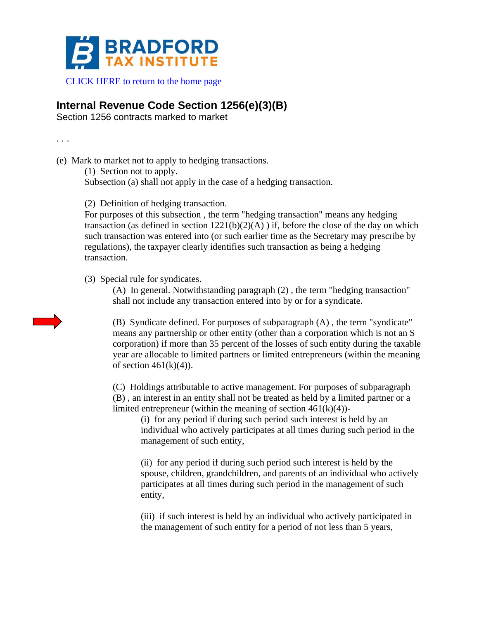

## **Internal Revenue Code Section 1256(e)(3)(B)**

Section 1256 contracts marked to market

. . .

(e) Mark to market not to apply to hedging transactions.

(1) Section not to apply.

Subsection (a) shall not apply in the case of a hedging transaction.

(2) Definition of hedging transaction.

For purposes of this subsection , the term "hedging transaction" means any hedging transaction (as defined in section  $1221(b)(2)(A)$ ) if, before the close of the day on which such transaction was entered into (or such earlier time as the Secretary may prescribe by regulations), the taxpayer clearly identifies such transaction as being a hedging transaction.

(3) Special rule for syndicates.

(A) In general. Notwithstanding paragraph (2) , the term "hedging transaction" shall not include any transaction entered into by or for a syndicate.

(B) Syndicate defined. For purposes of subparagraph (A) , the term "syndicate" means any partnership or other entity (other than a corporation which is not an S corporation) if more than 35 percent of the losses of such entity during the taxable year are allocable to limited partners or limited entrepreneurs (within the meaning of section  $461(k)(4)$ ).

(C) Holdings attributable to active management. For purposes of subparagraph (B) , an interest in an entity shall not be treated as held by a limited partner or a limited entrepreneur (within the meaning of section  $461(k)(4)$ )-

(i) for any period if during such period such interest is held by an individual who actively participates at all times during such period in the management of such entity,

(ii) for any period if during such period such interest is held by the spouse, children, grandchildren, and parents of an individual who actively participates at all times during such period in the management of such entity,

(iii) if such interest is held by an individual who actively participated in the management of such entity for a period of not less than 5 years,